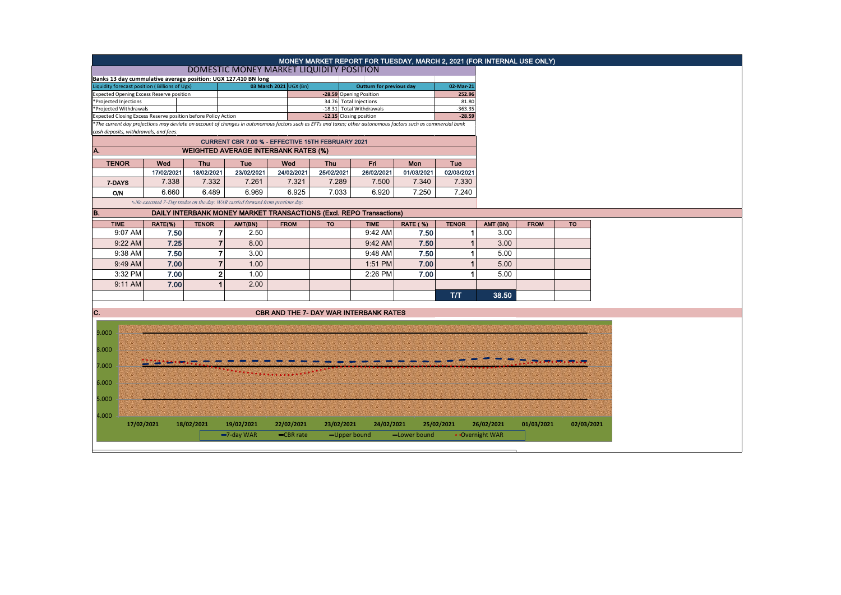|                                                                                                                                                               |                                                                     |              |                                                                |                        |                                               |                                                    |                 |                    |                 |             | MONEY MARKET REPORT FOR TUESDAY, MARCH 2, 2021 (FOR INTERNAL USE ONLY) |  |
|---------------------------------------------------------------------------------------------------------------------------------------------------------------|---------------------------------------------------------------------|--------------|----------------------------------------------------------------|------------------------|-----------------------------------------------|----------------------------------------------------|-----------------|--------------------|-----------------|-------------|------------------------------------------------------------------------|--|
|                                                                                                                                                               |                                                                     |              | DOMESTIC MONEY MARKET LIQUIDITY POSITION                       |                        |                                               |                                                    |                 |                    |                 |             |                                                                        |  |
|                                                                                                                                                               |                                                                     |              | Banks 13 day cummulative average position: UGX 127.410 BN long |                        |                                               |                                                    |                 |                    |                 |             |                                                                        |  |
| Liquidity forecast position (Billions of Ugx)                                                                                                                 |                                                                     |              |                                                                | 03 March 2021 UGX (Bn) |                                               | <b>Outturn for previous day</b>                    |                 | 02-Mar-21          |                 |             |                                                                        |  |
| <b>Expected Opening Excess Reserve position</b><br>*Projected Injections                                                                                      |                                                                     |              |                                                                |                        | -28.59 Opening Position                       |                                                    |                 | 252.96             |                 |             |                                                                        |  |
| *Projected Withdrawals                                                                                                                                        |                                                                     |              |                                                                |                        |                                               | 34.76 Total Injections<br>-18.31 Total Withdrawals |                 | 81.80<br>$-363.35$ |                 |             |                                                                        |  |
| Expected Closing Excess Reserve position before Policy Action                                                                                                 |                                                                     |              |                                                                |                        | -12.15 Closing position                       |                                                    |                 | $-28.59$           |                 |             |                                                                        |  |
| *The current day projections may deviate on account of changes in autonomous factors such as EFTs and taxes; other autonomous factors such as commercial bank |                                                                     |              |                                                                |                        |                                               |                                                    |                 |                    |                 |             |                                                                        |  |
| cash deposits, withdrawals, and fees.                                                                                                                         |                                                                     |              |                                                                |                        |                                               |                                                    |                 |                    |                 |             |                                                                        |  |
|                                                                                                                                                               |                                                                     |              |                                                                |                        |                                               |                                                    |                 |                    |                 |             |                                                                        |  |
| A.                                                                                                                                                            |                                                                     |              |                                                                |                        |                                               |                                                    |                 |                    |                 |             |                                                                        |  |
| <b>TENOR</b><br><b>Thu</b><br>Wed                                                                                                                             |                                                                     |              | Tue                                                            | Wed                    |                                               | Fri.<br><b>Thu</b>                                 |                 | Tue<br>Mon         |                 |             |                                                                        |  |
|                                                                                                                                                               | 17/02/2021                                                          | 18/02/2021   | 23/02/2021                                                     | 24/02/2021             | 25/02/2021                                    | 26/02/2021                                         | 01/03/2021      | 02/03/2021         |                 |             |                                                                        |  |
| 7-DAYS                                                                                                                                                        | 7.338                                                               | 7.332        | 7.261                                                          | 7.321                  | 7.289                                         | 7.500                                              | 7.340           | 7.330              |                 |             |                                                                        |  |
| <b>O/N</b>                                                                                                                                                    | 6.660                                                               | 6.489        | 6.969                                                          | 6.925                  | 7.033                                         | 6.920                                              | 7.250           | 7.240              |                 |             |                                                                        |  |
| *-No executed 7-Day trades on the day. WAR carried forward from previous day.                                                                                 |                                                                     |              |                                                                |                        |                                               |                                                    |                 |                    |                 |             |                                                                        |  |
| B.                                                                                                                                                            | DAILY INTERBANK MONEY MARKET TRANSACTIONS (Excl. REPO Transactions) |              |                                                                |                        |                                               |                                                    |                 |                    |                 |             |                                                                        |  |
| <b>TIME</b>                                                                                                                                                   | RATE(%)                                                             | <b>TENOR</b> | AMT(BN)                                                        | <b>FROM</b>            | <b>TO</b>                                     | <b>TIME</b>                                        | <b>RATE (%)</b> | <b>TENOR</b>       | AMT (BN)        | <b>FROM</b> |                                                                        |  |
| 9:07 AM                                                                                                                                                       | 7.50                                                                |              | $\overline{7}$<br>2.50                                         |                        |                                               | 9:42 AM                                            | 7.50            | 1                  | 3.00            |             |                                                                        |  |
| 9:22 AM                                                                                                                                                       | 7.25                                                                |              | $\overline{7}$<br>8.00                                         |                        |                                               | 9:42 AM                                            | 7.50            |                    | 3.00            |             |                                                                        |  |
| 9:38 AM                                                                                                                                                       | 7.50                                                                |              | $\overline{7}$<br>3.00                                         |                        |                                               | 9:48 AM                                            | 7.50            |                    | 5.00            |             |                                                                        |  |
| 9:49 AM                                                                                                                                                       | 7.00                                                                |              | $\overline{7}$<br>1.00                                         |                        |                                               | 1:51 PM                                            | 7.00            |                    | 5.00            |             |                                                                        |  |
|                                                                                                                                                               |                                                                     |              |                                                                |                        |                                               |                                                    |                 |                    |                 |             |                                                                        |  |
| 3:32 PM                                                                                                                                                       | 7.00                                                                |              | $\mathbf{2}$<br>1.00                                           |                        |                                               | 2:26 PM                                            | 7.00            | 1                  | 5.00            |             |                                                                        |  |
| 9:11 AM                                                                                                                                                       | 7.00                                                                |              | 2.00<br>1                                                      |                        |                                               |                                                    |                 |                    |                 |             |                                                                        |  |
|                                                                                                                                                               |                                                                     |              |                                                                |                        |                                               |                                                    |                 | T/T                | 38.50           |             |                                                                        |  |
|                                                                                                                                                               |                                                                     |              |                                                                |                        |                                               |                                                    |                 |                    |                 |             |                                                                        |  |
| C.                                                                                                                                                            |                                                                     |              |                                                                |                        | <b>CBR AND THE 7- DAY WAR INTERBANK RATES</b> |                                                    |                 |                    |                 |             |                                                                        |  |
|                                                                                                                                                               |                                                                     |              |                                                                |                        |                                               |                                                    |                 |                    |                 |             |                                                                        |  |
| 9.000                                                                                                                                                         |                                                                     |              |                                                                |                        |                                               |                                                    |                 |                    |                 |             |                                                                        |  |
| 8.000                                                                                                                                                         |                                                                     |              |                                                                |                        |                                               |                                                    |                 |                    |                 |             |                                                                        |  |
|                                                                                                                                                               |                                                                     |              |                                                                |                        |                                               |                                                    |                 |                    |                 |             |                                                                        |  |
| 7.000                                                                                                                                                         |                                                                     |              |                                                                |                        |                                               |                                                    |                 |                    |                 |             |                                                                        |  |
|                                                                                                                                                               |                                                                     |              |                                                                |                        |                                               |                                                    |                 |                    |                 |             |                                                                        |  |
| 6.000                                                                                                                                                         |                                                                     |              |                                                                |                        |                                               |                                                    |                 |                    |                 |             |                                                                        |  |
|                                                                                                                                                               |                                                                     |              |                                                                |                        |                                               |                                                    |                 |                    |                 |             |                                                                        |  |
| 5.000                                                                                                                                                         |                                                                     |              |                                                                |                        |                                               |                                                    |                 |                    |                 |             |                                                                        |  |
|                                                                                                                                                               |                                                                     |              |                                                                |                        |                                               |                                                    |                 |                    |                 |             |                                                                        |  |
| 4.000                                                                                                                                                         | 17/02/2021                                                          | 18/02/2021   | 19/02/2021                                                     | 22/02/2021             | 23/02/2021                                    | 24/02/2021                                         |                 | 25/02/2021         | 26/02/2021      | 01/03/2021  | 02/03/2021                                                             |  |
|                                                                                                                                                               |                                                                     |              |                                                                |                        |                                               |                                                    |                 |                    |                 |             |                                                                        |  |
|                                                                                                                                                               |                                                                     |              | $-7$ -day WAR                                                  | -CBR rate              | -Upper bound                                  |                                                    | -Lower bound    |                    | • Overnight WAR |             |                                                                        |  |
|                                                                                                                                                               |                                                                     |              |                                                                |                        |                                               |                                                    |                 |                    |                 |             |                                                                        |  |